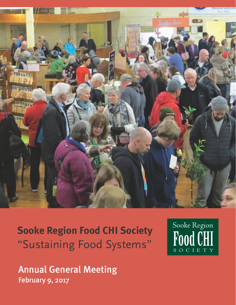

**Sooke Region Food CHI Society** "Sustaining Food Systems"

Sooke Region Food CHI SOCIETY

Annual General Meeting February 9, 2017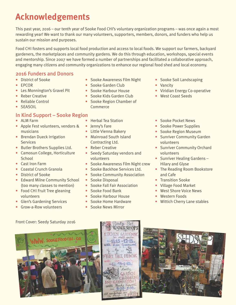# **Acknowledgements**

This past year, 2016 – our tenth year of Sooke Food CHI's voluntary organization programs – was once again a most rewarding year! We want to thank our many volunteers, supporters, members, donors, and funders who help us sustain our mission and purposes.

Food CHI fosters and supports local food production and access to local foods. We support our farmers, backyard gardeners, the marketplaces and community gardens. We do this through education, workshops, special events and mentorship. Since 2007 we have formed a number of partnerships and facilitated a collaborative approach, engaging many citizens and community organizations to enhance our regional food shed and local economy.

# 2016 Funders and Donors

- District of Sooke
- EPCOR
- Les Monnington's Gravel Pit
- Reber Creative
- Reliable Control
- SEASOIL

## In Kind Support – Sooke Region

- ALM Farm
- Apple Fest volunteers, vendors & musicians
- Brendan Dueck Irrigation **Services**
- Butler Brothers Supplies Ltd.
- Camosun College, Horticulture **School**
- Cast Iron Farm
- Coastal Crunch Granola
- District of Sooke
- Edward Milne Community School (too many classes to mention)
- Food CHI Fruit Tree gleaning volunteers
- Glen's Gardening Services
- Grow-a-Row volunteers
- Sooke Awareness Film Night
- Sooke Garden Club
- Sooke Harbour House
- Sooke Kids Garden Club
- Sooke Region Chamber of Commerce
- Herbal Tea Station
- Jenny's Fare
- Little Vienna Bakery
- Mainroad South Island Contracting Ltd.
- Reber Creative
- Seedy Saturday vendors and volunteers
- Sooke Awareness Film Night crew
- Sooke Backhoe Services Ltd.
- Sooke Community Association
- Sooke Disposal
- Sooke Fall Fair Association
- Sooke Food Bank
- Sooke Harbour House
- Sooke Home Hardware
- Sooke News Mirror
- Sooke Soil Landscaping
- Vancity
- Viridian Energy Co-operative
- West Coast Seeds
- Sooke Pocket News
- Sooke Power Supplies
- Sooke Region Museum
- Sunriver Community Garden volunteers
- Sunriver Community Orchard volunteers
- Sunriver Healing Gardens -Hilary and Glyse
- The Reading Room Bookstore and Cafe
- Transition Sooke
- Village Food Market
- West Shore Voice News
- Western Foods
- Wittich Cherry Lane stables

Front Cover: Seedy Saturday 2016





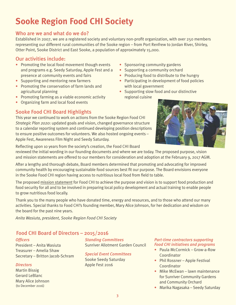# **Sooke Region Food CHI Society**

## Who are we and what do we do?

Established in 2007, we are a registered society and voluntary non-profit organization, with over 250 members representing our different rural communities of the Sooke region – from Port Renfrew to Jordan River, Shirley, Otter Point, Sooke District and East Sooke, a population of approximately 15,000.

## Our activities include:

- Promoting the local food movement though events and programs e.g. Seedy Saturday, Apple Fest and a presence at community events and fairs
- Supporting and mentoring new farmers
- Promoting the conservation of farm lands and agricultural planning
- Promoting farming as a viable economic activity
- Organizing farm and local food events
- Sooke Food CHI Board Highlights

This year we continued to work on actions from the Sooke Region Food CHI *Strategic Plan 2020*: updated goals and vision, changed governance structure to a calendar reporting system and continued developing position descriptions to ensure positive outcomes for volunteers. We also hosted ongoing events – Apple Fest, Awareness Film Night and Seedy Saturday.

Reflecting upon 10 years from the society's creation, the Food CHI Board

• Sponsoring community gardens

- Supporting a community orchard
- Producing food to distribute to the hungry
- Participating in development of food policies with local government
- Supporting slow food and our distinctive regional cuisine



reviewed the initial wording in our founding documents and where we are today. The proposed purpose, vision and mission statements are offered to our members for consideration and adoption at the February 9, 2017 AGM.

After a lengthy and thorough debate, Board members determined that promoting and advocating for improved community health by encouraging sustainable food sources best fit our purpose. The Board envisions everyone in the Sooke Food CHI region having access to nutritious local food from field to table.

The proposed mission statement for Food CHI to achieve the purpose and vision is to support food production and food security for all and to be involved in preparing local policy development and actual training to enable people to grow nutritious food locally.

Thank you to the many people who have donated time, energy and resources, and to those who attend our many activities. Special thanks to Food CHI's founding member, Mary Alice Johnson, for her dedication and wisdom on the board for the past nine years.

*Anita Wasiuta, president, Sooke Region Food CHI Society*

# Food CHI Board of Directors – 2015/2016

#### *Officers*

President – Anita Wasiuta Treasurer – Amelia Shaw Secretary – Britton Jacob-Schram

#### *Directors*

Martin Bissig Gerard LeBlanc Mary Alice Johnson (to December 2016)

*Standing Committees* Sunriver Allotment Garden Council

## *Special Event Committees*

Sooke Seedy Saturday Apple Fest 2016

#### *Part-time contractors supporting Food CHI initiatives and programs*

- Paula McCormick Grow-a-Row **Coordinator**
- Phil Rossner Apple Festival Coordinator
- Mike McEwan lawn maintenance for Sunriver Community Gardens and Community Orchard
- Marika Nagasaka Seedy Saturday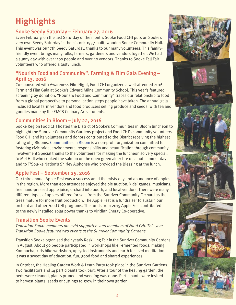# **Highlights**

# Sooke Seedy Saturday – February 27, 2016

Every February, on the last Saturday of the month, Sooke Food CHI puts on Sooke's very own Seedy Saturday in the historic 1937-built, wooden Sooke Community Hall. This event was our 7th Seedy Saturday, thanks to our many volunteers. This familyfriendly event brings many folks, farmers, gardeners and vendors together. We had a sunny day with over 1100 people and over 40 vendors. Thanks to Sooke Fall Fair volunteers who offered a tasty lunch.

## "Nourish Food and Community": Farming & Film Gala Evening – April 13, 2016

Co-sponsored with Awareness Film Night, Food CHI organized a well-attended 2016 Farm and Film Gala at Sooke's Edward Milne Community School. This year's featured screening by donation, "Nourish: Food and Community" traces our relationship to food from a global perspective to personal action steps people have taken. The annual gala included local farm vendors and food producers selling produce and seeds, with tea and goodies made by the EMCS Culinary Arts students.

## Communities in Bloom – July 22, 2016

Sooke Region Food CHI hosted the District of Sooke's Communities in Bloom luncheon to highlight the Sunriver Community Gardens project and Food CHI's community volunteers. Food CHI and its volunteers and donors contributed to the District receiving the highest rating of 5 Blooms. [Communities in Bloom](http://www.bccommunitiesinbloom.ca/bccib_about.htm) is a non-profit organization committed to fostering civic pride, environmental responsibility and beautification through community involvement Special thanks to the volunteers for making the luncheon so very special, to Mel Hull who cooked the salmon on the open green alder fire on a hot summer day and to T'Sou-ke Nation's Shirley Alphonse who provided the Blessing at the lunch.

## Apple Fest – September 25, 2016

Our third annual Apple Fest was a success amid the misty day and abundance of apples in the region. More than 500 attendees enjoyed the pie auction, kids' games, musicians, free hand-pressed apple juice, orchard info booth, and local vendors. There were many different types of apples offered for sale from the Sunriver Community Orchard as the trees mature for more fruit production. The Apple Fest is a fundraiser to sustain our orchard and other Food CHI programs. The funds from 2015 Apple Fest contributed to the newly installed solar power thanks to Viridian Energy Co-operative.

## Transition Sooke Events

*Transition Sooke members are avid supporters and members of Food CHI. This year Transition Sooke featured two events at the Sunriver Community Gardens.*

Transition Sooke organised their yearly Reskilling Fair in the Sunriver Community Gardens in August. About 90 people participated in workshops like Fermented foods, making Kombucha, kids bike workshop, upcycled instruments and earth focused meditation. It was a sweet day of education, fun, good food and shared experiences.

In October, the Healing Garden Work & Learn Party took place in the Sunriver Gardens. Two facilitators and 14 participants took part. After a tour of the healing garden, the beds were cleaned, plants pruned and weeding was done. Participants were invited to harvest plants, seeds or cuttings to grow in their own garden.



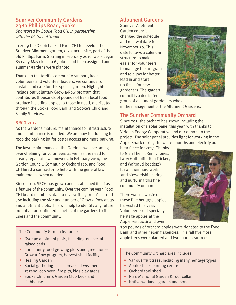# Sunriver Community Gardens – 2380 Phillips Road, Sooke

*Sponsored by Sooke Food CHI in partnership with the District of Sooke*

In 2009 the District asked Food CHI to develop the Sunriver Allotment garden, a 2.5 acres site, part of the old Phillips Farm. Starting in February 2010, work began. By early May close to 65 plots had been assigned and summer gardens were planted.

Thanks to the terrific community support, keen volunteers and volunteer leaders, we continue to sustain and care for this special garden. Highlights include our voluntary Grow-a-Row program that contributes thousands of pounds of fresh local food produce including apples to those in need, distributed through the Sooke Food Bank and Sooke's Child and Family Services.

### SRCG 2017

As the Gardens mature, maintenance to infrastructure and maintenance is needed. We are now fundraising to redo the parking lot for better access and more parking.

The lawn maintenance at the Gardens was becoming overwhelming for volunteers as well as the need for steady repair of lawn mowers. In February 2016, the Garden Council, Community Orchard rep. and Food CHI hired a contractor to help with the general lawn maintenance when needed.

Since 2010, SRCG has grown and established itself as a feature of the community. Over the coming year, Food CHI board members plan to review the garden's current use including the size and number of Grow-a-Row areas and allotment plots. This will help to identify any future potential for continued benefits of the gardens to the users and the community.

The Community Garden features:

- Over 90 allotment plots, including 12 special raised beds
- Community food growing plots and greenhouse, Grow-a-Row program, harvest shed facility
- Healing Garden
- Social gathering picnic areas: all-weather gazebo, cob oven, fire pits, kids play areas
- Sooke Children's Garden Club beds and clubhouse

# Allotment Gardens

Sunriver Allotment Garden council changed the schedule and renewal date to November 30. This date follows a calendar structure to make it easier for volunteers to manage the program and to allow for better lead in and start up times for new gardeners. The garden council is a dedicated



group of allotment gardeners who assist in the management of the Allotment Gardens.

# The Sunriver Community Orchard

Since 2011 the orchard has grown including the installation of a solar panel this year, with thanks to Viridian Energy Co-operative and our donors to the project. The solar panel provides light for working in the Apple Shack during the winter months and electrify our

bear fence for 2017. Thanks to Glen Thelin, Kenny Jones, Larry Galbraith, Tom Trickery and Waltraud Readetzki for all their hard work and stewardship caring and nurturing this fine community orchard.

There was no waste of these fine heritage apples harvested this year. Volunteers sold specialty heritage apples at the Apple Fest 2016 and over



300 pounds of orchard apples were donated to the Food Bank and other helping agencies. This fall five more apple trees were planted and two more pear trees.

The Community Orchard area includes:

- Various fruit trees, including many heritage types
- Apple shack learning centre
- Orchard tool shed
- Pia's Memorial Garden & root cellar
- Native wetlands garden and pond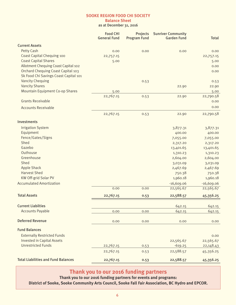#### **Balance Sheet** as at December 31, 2016

|                                            | <b>Food CHI</b><br><b>General Fund</b> | Projects<br><b>Program Fund</b> | <b>Sunriver Community</b><br><b>Garden Fund</b> | <b>Total</b>      |
|--------------------------------------------|----------------------------------------|---------------------------------|-------------------------------------------------|-------------------|
| <b>Current Assets</b>                      |                                        |                                 |                                                 |                   |
| <b>Petty Cash</b>                          | 0.00                                   | 0.00                            | 0.00                                            | 0.00              |
| <b>Coast Capital Chequing 100</b>          | 22,757.15                              |                                 |                                                 | 22,757.15         |
| <b>Coast Capital Shares</b>                | 5.00                                   |                                 |                                                 | 5.00              |
| Allotment Chequing Coast Capital 102       |                                        |                                 |                                                 | 0.00              |
| <b>Orchard Chequing Coast Capital 103</b>  |                                        |                                 |                                                 | 0.00              |
| Sk Food Chi Savings Coast Capital 101      |                                        |                                 |                                                 |                   |
| <b>Vancity Chequing</b>                    |                                        | 0.53                            |                                                 | 0.53              |
| <b>Vancity Shares</b>                      |                                        |                                 | 22.90                                           | 22.90             |
| <b>Mountain Equipment Co-op Shares</b>     | 5.00                                   |                                 |                                                 | 5.00              |
| <b>Grants Receivable</b>                   | 22,767.15                              | 0.53                            | 22.90                                           | 22,790.58         |
|                                            |                                        |                                 |                                                 | 0.00              |
| <b>Accounts Receivable</b>                 |                                        |                                 |                                                 | 0.00              |
|                                            | 22,767.15                              | 0.53                            | 22.90                                           | 22,790.58         |
| <b>Investments</b>                         |                                        |                                 |                                                 |                   |
| <b>Irrigation System</b>                   |                                        |                                 | 3,877.31                                        | 3,877.31          |
| Equipment                                  |                                        |                                 | 400.00                                          | 400.00            |
| Fence/Gates/Signs                          |                                        |                                 | 7,055.00                                        | 7,055.00          |
| Shed                                       |                                        |                                 | 2,317.20                                        | 2,317.20          |
| Gazebo                                     |                                        |                                 | 13,401.65                                       | 13,401.65         |
| Outhouse                                   |                                        |                                 | 1,310.23                                        | 1,310.23          |
| Greenhouse                                 |                                        |                                 | 2,604.00                                        | 2,604.00          |
| Shed                                       |                                        |                                 | 3,031.09                                        | 3,031.09          |
| <b>Apple Shack</b>                         |                                        |                                 | 2,467.69                                        | 2,467.69          |
| <b>Harvest Shed</b>                        |                                        |                                 | 750.38                                          | 750.38            |
| KW Off-grid Solar PV                       |                                        |                                 | 1,960.18                                        | 1,960.18          |
| <b>Accumulated Amortization</b>            |                                        |                                 | $-16,609.06$                                    | $-16,609.06$      |
|                                            | 0.00                                   | 0.00                            | 22,565.67                                       | 22,565.67         |
| <b>Total Assets</b>                        | 22,767.15                              | 0.53                            | 22,588.57                                       | 45,356.25         |
| <b>Current Liabilties</b>                  |                                        |                                 | 642.15                                          | 642.15            |
| <b>Accounts Payable</b>                    | 0.00                                   | 0.00                            | 642.15                                          | 642.15            |
| <b>Deferred Revenue</b>                    | 0.00                                   | 0.00                            | 0.00                                            | 0.00              |
| <b>Fund Balances</b>                       |                                        |                                 |                                                 |                   |
| <b>Externally Restricted Funds</b>         |                                        |                                 |                                                 |                   |
| <b>Invested in Capital Assets</b>          |                                        |                                 | 22,565.67                                       | 0.00<br>22,565.67 |
| <b>Unrestricted Funds</b>                  | 22,767.15                              | 0.53                            | $-619.25$                                       | 22,148.43         |
|                                            | 22,767.15                              |                                 |                                                 |                   |
|                                            |                                        | 0.53                            | 22,588.57                                       | 45,356.25         |
| <b>Total Liabilities and Fund Balances</b> | 22,767.15                              | 0.53                            | 22,588.57                                       | 45,356.25         |

# **Thank you to our 2016 funding partners**

**Thank you to our 2016 funding partners for events and programs:** 

**District of Sooke, Sooke Community Arts Council, Sooke Fall Fair Association, BC Hydro and EPCOR.**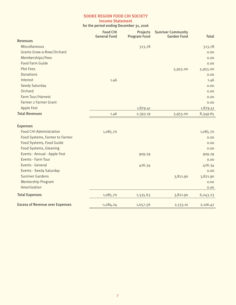#### **Income Statement**

for the period ending December 31, 2016

|                                        | <b>Food CHI</b><br><b>General Fund</b> | <b>Projects</b><br><b>Program Fund</b> | <b>Sunriver Community</b><br><b>Garden Fund</b> | <b>Total</b> |
|----------------------------------------|----------------------------------------|----------------------------------------|-------------------------------------------------|--------------|
| <b>Revenues</b>                        |                                        |                                        |                                                 |              |
| Miscellaneous                          |                                        | 513.78                                 |                                                 | 513.78       |
| <b>Grants Grow-a-Row/Orchard</b>       |                                        |                                        |                                                 | 0.00         |
| Memberships/Fees                       |                                        |                                        |                                                 | 0.00         |
| <b>Food Farm Guide</b>                 |                                        |                                        |                                                 | 0.00         |
| <b>Plot Fees</b>                       |                                        |                                        | 5,955.00                                        | 5,955.00     |
| <b>Donations</b>                       |                                        |                                        |                                                 | 0.00         |
| Interest                               | 1.46                                   |                                        |                                                 | 1.46         |
| <b>Seedy Saturday</b>                  |                                        |                                        |                                                 | 0.00         |
| Orchard                                |                                        |                                        |                                                 | 0.00         |
| Farm Tour/Harvest                      |                                        |                                        |                                                 | 0.00         |
| <b>Farmer 2 Farmer Grant</b>           |                                        |                                        |                                                 | 0.00         |
| <b>Apple Fest</b>                      |                                        | 1,879.41                               |                                                 | 1,879.41     |
| <b>Total Revenues</b>                  | 1.46                                   | 2,393.19                               | 5,955.00                                        | 8,349.65     |
| <b>Expenses</b>                        |                                        |                                        |                                                 |              |
| <b>Food CHI Administration</b>         | 1,085.70                               |                                        |                                                 | 1,085.70     |
| Food Systems, Farmer to Farmer         |                                        |                                        |                                                 | 0.00         |
| Food Systems, Food Guide               |                                        |                                        |                                                 | 0.00         |
| <b>Food Systems, Gleaning</b>          |                                        |                                        |                                                 | 0.00         |
| Events - Annual - Apple Fest           |                                        | 909.29                                 |                                                 | 909.29       |
| Events - Farm Tour                     |                                        |                                        |                                                 | 0.00         |
| Events - General                       |                                        | 426.34                                 |                                                 | 426.34       |
| <b>Events - Seedy Saturday</b>         |                                        |                                        |                                                 | 0.00         |
| <b>Sunriver Gardens</b>                |                                        |                                        | 3,821.90                                        | 3,821.90     |
| <b>Mentorship Program</b>              |                                        |                                        |                                                 | 0.00         |
| Amortization                           |                                        |                                        |                                                 | 0.00         |
| <b>Total Expenses</b>                  | 1,085.70                               | 1,335.63                               | 3,821.90                                        | 6,243.23     |
| <b>Excess of Revenue over Expenses</b> | $-1,084.24$                            | 1,057.56                               | 2,133.10                                        | 2,106.42     |
|                                        |                                        |                                        |                                                 |              |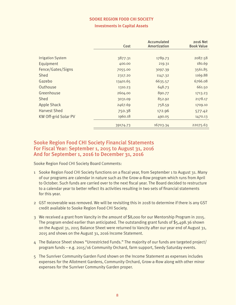#### **Investments in Capital Assets**

|                          | Cost     | Accumulated<br>Amortization | 2016 Net<br><b>Book Value</b> |
|--------------------------|----------|-----------------------------|-------------------------------|
|                          |          |                             |                               |
| <b>Irrigation System</b> | 3877.31  | 1789.73                     | 2087.58                       |
| Equipment                | 400.00   | 219.31                      | 180.69                        |
| Fence/Gates/Signs        | 7055.00  | 3097.39                     | 3561.85                       |
| Shed                     | 2317.20  | 1147.32                     | 1169.88                       |
| Gazebo                   | 13401.65 | 6635.57                     | 6766.08                       |
| Outhouse                 | 1310.23  | 648.73                      | 661.50                        |
| Greenhouse               | 2604.00  | 890.77                      | 1713.23                       |
| Shed                     | 3031.09  | 852.92                      | 2178.17                       |
| <b>Apple Shack</b>       | 2467.69  | 758.59                      | 1709.10                       |
| <b>Harvest Shed</b>      | 750.38   | 172.96                      | 577.42                        |
| KW Off-grid Solar PV     | 1960.18  | 490.05                      | 1470.13                       |
|                          | 39174.73 | 16703.34                    | 22075.63                      |

## Sooke Region Food CHI Society Financial Statements For Fiscal Year: September 1, 2015 to August 31, 2016 And for September 1, 2016 to December 31, 2016

Sooke Region Food CHI Society Board Comments:

- 1 Sooke Region Food CHI Society functions on a fiscal year, from September 1 to August 31. Many of our programs are calendar in nature such as the Grow-a-Row program which runs from April to October. Such funds are carried over to the next fiscal year. The Board decided to restructure to a calendar year to better reflect its activities resulting in two sets of financial statements for this year.
- 2 GST recoverable was removed. We will be revisiting this in 2018 to determine if there is any GST credit available to Sooke Region Food CHI Society.
- 3 We received a grant from Vancity in the amount of \$8,000 for our Mentorship Program in 2015. The program ended earlier than anticipated. The outstanding grant funds of \$5,498.36 shown on the August 31, 2015 Balance Sheet were returned to Vancity after our year end of August 31, 2015 and shows on the August 31, 2016 Income Statement.
- 4 The Balance Sheet shows "Unrestricted Funds." The majority of our funds are targeted project/ program funds – e.g. 2015/16 Community Orchard, farm support, Seedy Saturday events.
- 5 The Sunriver Community Garden Fund shown on the Income Statement as expenses includes expenses for the Allotment Gardens, Community Orchard, Grow-a-Row along with other minor expenses for the Sunriver Community Garden proper.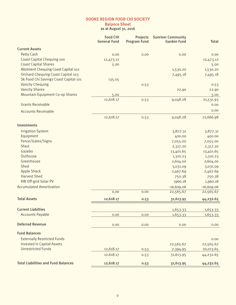## **Balance Sheet**

as at August 31, 2016

|                                            | <b>Food CHI</b><br><b>General Fund</b> | <b>Projects</b><br><b>Program Fund</b> | <b>Sunriver Community</b><br><b>Garden Fund</b> | <b>Total</b> |
|--------------------------------------------|----------------------------------------|----------------------------------------|-------------------------------------------------|--------------|
| <b>Current Assets</b>                      |                                        |                                        |                                                 |              |
| <b>Petty Cash</b>                          | 0.00                                   | 0.00                                   | 0.00                                            | 0.00         |
| <b>Coast Capital Chequing 100</b>          | 12,473.12                              |                                        |                                                 | 12,473.12    |
| <b>Coast Capital Shares</b>                | 5.00                                   |                                        |                                                 | 5.00         |
| Allotment Chequing Coast Capital 102       |                                        |                                        | 1,530.20                                        | 1,530.20     |
| <b>Orchard Chequing Coast Capital 103</b>  |                                        |                                        | 7,495.18                                        | 7,495.18     |
| Sk Food Chi Savings Coast Capital 101      | 135.05                                 |                                        |                                                 |              |
| <b>Vancity Chequing</b>                    |                                        | 0.53                                   |                                                 | 0.53         |
| <b>Vancity Shares</b>                      |                                        |                                        | 22.90                                           | 22.90        |
| <b>Mountain Equipment Co-op Shares</b>     | 5.00                                   |                                        |                                                 | 5.00         |
|                                            | 12,618.17                              | 0.53                                   | 9,048.28                                        | 21,531.93    |
| <b>Grants Receivable</b>                   |                                        |                                        |                                                 | 0.00         |
| <b>Accounts Receivable</b>                 |                                        |                                        |                                                 | 0.00         |
|                                            | 12,618.17                              | 0.53                                   | 9,048.28                                        | 21,666.98    |
| Investments                                |                                        |                                        |                                                 |              |
| <b>Irrigation System</b>                   |                                        |                                        | 3,877.31                                        | 3,877.31     |
| Equipment                                  |                                        |                                        | 400.00                                          | 400.00       |
| Fence/Gates/Signs                          |                                        |                                        | 7,055.00                                        | 7,055.00     |
| Shed                                       |                                        |                                        | 2,317.20                                        | 2,317.20     |
| Gazebo                                     |                                        |                                        | 13,401.65                                       | 13,401.65    |
| Outhouse                                   |                                        |                                        | 1,310.23                                        | 1,310.23     |
| Greenhouse                                 |                                        |                                        | 2,604.00                                        | 2,604.00     |
| Shed                                       |                                        |                                        | 3,031.09                                        | 3,031.09     |
| <b>Apple Shack</b>                         |                                        |                                        | 2,467.69                                        | 2,467.69     |
| <b>Harvest Shed</b>                        |                                        |                                        | 750.38                                          | 750.38       |
| KW Off-grid Solar PV                       |                                        |                                        | 1960.18                                         | 1,960.18     |
| <b>Accumulated Amortization</b>            |                                        |                                        | $-16,609.06$                                    | $-16,609.06$ |
|                                            | 0.00                                   | 0.00                                   | 22,565.67                                       | 22,565.67    |
| <b>Total Assets</b>                        | 12,618.17                              | 0.53                                   | 31,613.95                                       | 44,232.65    |
| <b>Current Liabilties</b>                  |                                        |                                        | 1,653.33                                        | 1,653.33     |
| <b>Accounts Payable</b>                    | 0.00                                   | 0.00                                   | 1,653.33                                        | 1,653.33     |
|                                            |                                        |                                        |                                                 |              |
| <b>Deferred Revenue</b>                    | 0.00                                   | 0.00                                   | 0.00                                            | 0.00         |
| <b>Fund Balances</b>                       |                                        |                                        |                                                 |              |
| <b>Externally Restricted Funds</b>         |                                        |                                        |                                                 | 0.00         |
| <b>Invested in Capital Assets</b>          |                                        |                                        | 22,565.67                                       | 22,565.67    |
| <b>Unrestricted Funds</b>                  | 12,618.17                              | 0.53                                   | 7,394.95                                        | 20,013.65    |
|                                            | 12,618.17                              | 0.53                                   | 31,613.95                                       | 44,232.65    |
| <b>Total Liabilities and Fund Balances</b> | 12,618.17                              | 0.53                                   | 31,613.95                                       | 44,232.65    |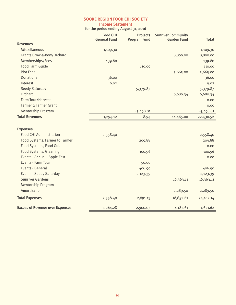#### **Income Statement** for the period ending August 31, 2016

|                                        | <b>Food CHI</b><br><b>General Fund</b> | <b>Projects</b><br><b>Program Fund</b> | <b>Sunriver Community</b><br><b>Garden Fund</b> | <b>Total</b> |
|----------------------------------------|----------------------------------------|----------------------------------------|-------------------------------------------------|--------------|
| <b>Revenues</b>                        |                                        |                                        |                                                 |              |
| Miscellaneous                          | 1,109.30                               |                                        |                                                 | 1,109.30     |
| <b>Grants Grow-a-Row/Orchard</b>       |                                        |                                        | 8,800.00                                        | 8,800.00     |
| Memberships/Fees                       | 139.80                                 |                                        |                                                 | 139.80       |
| <b>Food Farm Guide</b>                 |                                        | 110.00                                 |                                                 | 110.00       |
| <b>Plot Fees</b>                       |                                        |                                        | 5,665.00                                        | 5,665.00     |
| <b>Donations</b>                       | 36.00                                  |                                        |                                                 | 36.00        |
| Interest                               | 9.02                                   |                                        |                                                 | 9.02         |
| <b>Seedy Saturday</b>                  |                                        | 5,379.87                               |                                                 | 5,379.87     |
| Orchard                                |                                        |                                        | 6,680.34                                        | 6,680.34     |
| Farm Tour/Harvest                      |                                        |                                        |                                                 | 0.00         |
| Farmer 2 Farmer Grant                  |                                        |                                        |                                                 | 0.00         |
| <b>Mentorship Program</b>              |                                        | $-5,498.81$                            |                                                 | $-5,498.81$  |
| <b>Total Revenues</b>                  | 1,294.12                               | $-8.94$                                | 14,465.00                                       | 22,430.52    |
| <b>Expenses</b>                        |                                        |                                        |                                                 |              |
| <b>Food CHI Administration</b>         | 2,558.40                               |                                        |                                                 | 2,558.40     |
| Food Systems, Farmer to Farmer         |                                        | 209.88                                 |                                                 | 209.88       |
| Food Systems, Food Guide               |                                        |                                        |                                                 | 0.00         |
| <b>Food Systems, Gleaning</b>          |                                        | 100.96                                 |                                                 | 100.96       |
| Events - Annual - Apple Fest           |                                        |                                        |                                                 | 0.00         |
| Events - Farm Tour                     |                                        | 50.00                                  |                                                 |              |
| Events - General                       |                                        | 406.90                                 |                                                 | 406.90       |
| <b>Events - Seedy Saturday</b>         |                                        | 2,123.39                               |                                                 | 2,123.39     |
| <b>Sunriver Gardens</b>                |                                        |                                        | 16,363.11                                       | 16,363.11    |
| <b>Mentorship Program</b>              |                                        |                                        |                                                 |              |
| Amortization                           |                                        |                                        | 2,289.50                                        | 2,289.50     |
| <b>Total Expenses</b>                  | 2,558.40                               | 2,891.13                               | 18,652.61                                       | 24,102.14    |
| <b>Excess of Revenue over Expenses</b> | $-1,264.28$                            | $-2,900.07$                            | $-4,187.61$                                     | $-1,671.62$  |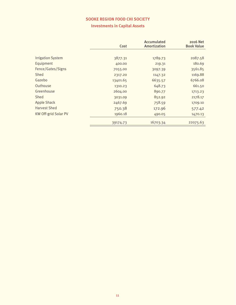# **Investments in Capital Assets**

|                             | Cost     | Accumulated<br>Amortization | 2016 Net<br><b>Book Value</b> |
|-----------------------------|----------|-----------------------------|-------------------------------|
|                             |          |                             |                               |
| <b>Irrigation System</b>    | 3877.31  | 1789.73                     | 2087.58                       |
| Equipment                   | 400.00   | 219.31                      | 180.69                        |
| Fence/Gates/Signs           | 7055.00  | 3097.39                     | 3561.85                       |
| <b>Shed</b>                 | 2317.20  | 1147.32                     | 1169.88                       |
| Gazebo                      | 13401.65 | 6635.57                     | 6766.08                       |
| Outhouse                    | 1310.23  | 648.73                      | 661.50                        |
| Greenhouse                  | 2604.00  | 890.77                      | 1713.23                       |
| Shed                        | 3031.09  | 852.92                      | 2178.17                       |
| <b>Apple Shack</b>          | 2467.69  | 758.59                      | 1709.10                       |
| <b>Harvest Shed</b>         | 750.38   | 172.96                      | 577.42                        |
| <b>KW Off-grid Solar PV</b> | 1960.18  | 490.05                      | 1470.13                       |
|                             | 39174.73 | 16703.34                    | 22075.63                      |